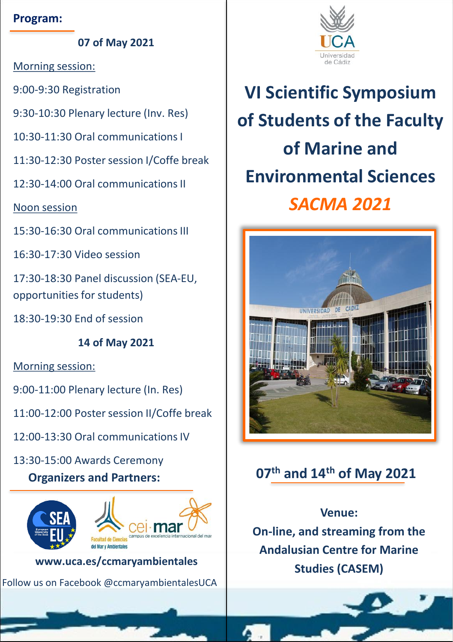#### **Program:**

**07 of May 2021**

Morning session:

9:00-9:30 Registration

9:30-10:30 Plenary lecture (Inv. Res)

10:30-11:30 Oral communications I

11:30-12:30 Poster session I/Coffe break

12:30-14:00 Oral communications II

Noon session

15:30-16:30 Oral communications III

16:30-17:30 Video session

17:30-18:30 Panel discussion (SEA-EU, opportunities for students)

18:30-19:30 End of session

**14 of May 2021**

Morning session:

9:00-11:00 Plenary lecture (In. Res)

11:00-12:00 Poster session II/Coffe break

- 12:00-13:30 Oral communications IV
- 13:30-15:00 Awards Ceremony

## **Organizers and Partners:**



**www.uca.es/ccmaryambientales**

Follow us on Facebook @ccmaryambientalesUCA



**VI Scientific Symposium of Students of the Faculty of Marine and Environmental Sciences** *SACMA 2021*



# **07th and 14th of May 2021**

## **Venue:**

**On-line, and streaming from the Andalusian Centre for Marine Studies (CASEM)**